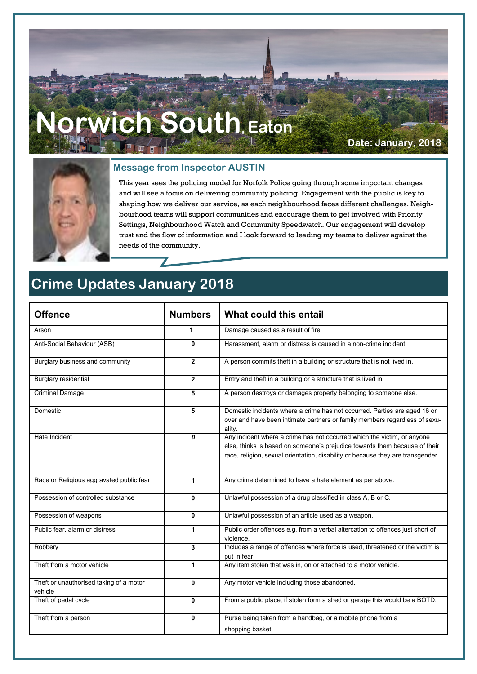# **Norwich South, Eaton**

Z

**Date: January, 2018**



#### **Message from Inspector AUSTIN**

This year sees the policing model for Norfolk Police going through some important changes and will see a focus on delivering community policing. Engagement with the public is key to shaping how we deliver our service, as each neighbourhood faces different challenges. Neighbourhood teams will support communities and encourage them to get involved with Priority Settings, Neighbourhood Watch and Community Speedwatch. Our engagement will develop trust and the flow of information and I look forward to leading my teams to deliver against the needs of the community.

### **Crime Updates January 2018**

| <b>Offence</b>                                     | <b>Numbers</b> | What could this entail                                                                                                                                                                                                                   |
|----------------------------------------------------|----------------|------------------------------------------------------------------------------------------------------------------------------------------------------------------------------------------------------------------------------------------|
| Arson                                              | 1              | Damage caused as a result of fire.                                                                                                                                                                                                       |
| Anti-Social Behaviour (ASB)                        | 0              | Harassment, alarm or distress is caused in a non-crime incident.                                                                                                                                                                         |
| Burglary business and community                    | $\mathbf{2}$   | A person commits theft in a building or structure that is not lived in.                                                                                                                                                                  |
| Burglary residential                               | $\overline{2}$ | Entry and theft in a building or a structure that is lived in.                                                                                                                                                                           |
| <b>Criminal Damage</b>                             | 5              | A person destroys or damages property belonging to someone else.                                                                                                                                                                         |
| Domestic                                           | 5              | Domestic incidents where a crime has not occurred. Parties are aged 16 or<br>over and have been intimate partners or family members regardless of sexu-<br>ality.                                                                        |
| Hate Incident                                      | 0              | Any incident where a crime has not occurred which the victim, or anyone<br>else, thinks is based on someone's prejudice towards them because of their<br>race, religion, sexual orientation, disability or because they are transgender. |
| Race or Religious aggravated public fear           | 1              | Any crime determined to have a hate element as per above.                                                                                                                                                                                |
| Possession of controlled substance                 | 0              | Unlawful possession of a drug classified in class A, B or C.                                                                                                                                                                             |
| Possession of weapons                              | 0              | Unlawful possession of an article used as a weapon.                                                                                                                                                                                      |
| Public fear, alarm or distress                     | 1              | Public order offences e.g. from a verbal altercation to offences just short of<br>violence.                                                                                                                                              |
| Robbery                                            | 3              | Includes a range of offences where force is used, threatened or the victim is<br>put in fear.                                                                                                                                            |
| Theft from a motor vehicle                         | 1              | Any item stolen that was in, on or attached to a motor vehicle.                                                                                                                                                                          |
| Theft or unauthorised taking of a motor<br>vehicle | 0              | Any motor vehicle including those abandoned.                                                                                                                                                                                             |
| Theft of pedal cycle                               | 0              | From a public place, if stolen form a shed or garage this would be a BOTD.                                                                                                                                                               |
| Theft from a person                                | 0              | Purse being taken from a handbag, or a mobile phone from a<br>shopping basket.                                                                                                                                                           |